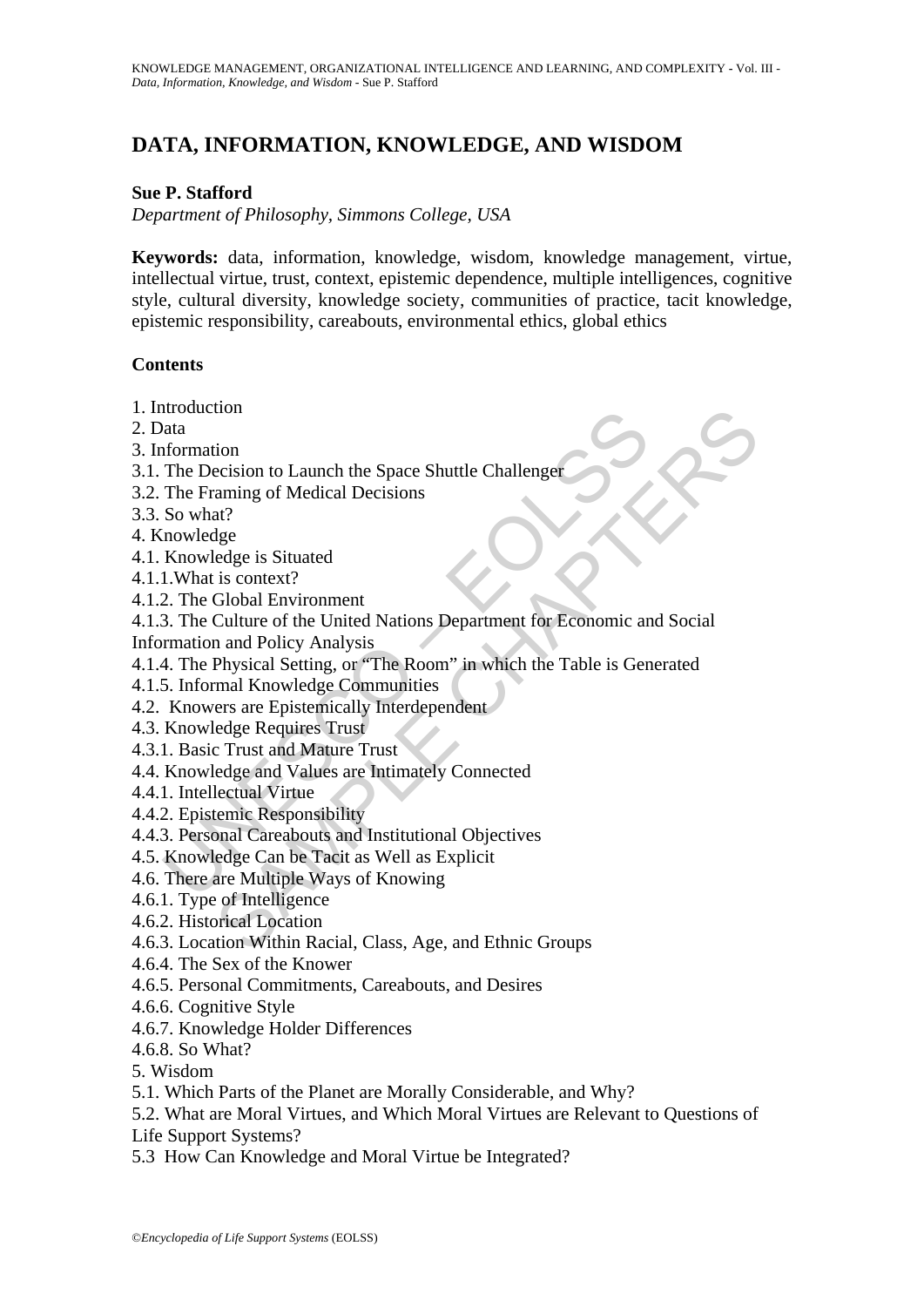# **DATA, INFORMATION, KNOWLEDGE, AND WISDOM**

# **Sue P. Stafford**

*Department of Philosophy, Simmons College, USA* 

**Keywords:** data, information, knowledge, wisdom, knowledge management, virtue, intellectual virtue, trust, context, epistemic dependence, multiple intelligences, cognitive style, cultural diversity, knowledge society, communities of practice, tacit knowledge, epistemic responsibility, careabouts, environmental ethics, global ethics

#### **Contents**

- 1. Introduction
- 2. Data
- 3. Information
- 3.1. The Decision to Launch the Space Shuttle Challenger
- 3.2. The Framing of Medical Decisions
- 3.3. So what?
- 4. Knowledge
- 4.1. Knowledge is Situated
- 4.1.1.What is context?
- 4.1.2. The Global Environment
- Internation<br>
Mata<br>
Mata<br>
Mata<br>
Mata<br>
Mata<br>
Mata<br>
Mata<br>
Mata<br>
Internation of Medical Decisions<br>
So what?<br>
I. What is context?<br>
2. The Global Environment<br>
3. The Culture of the United Nations Department for Economic are<br>
The tion<br>
tion<br>
tion<br>
tion<br>
are<br>
are considered between Shautile Challenge<br>
are<br>
are<br>
are<br>
are of Medical Decisions<br>
are<br>
Cold Environment<br>
Culture of the United Nations Department for Economic and Social<br>
n and Policy Analysi 4.1.3. The Culture of the United Nations Department for Economic and Social Information and Policy Analysis
- 4.1.4. The Physical Setting, or "The Room" in which the Table is Generated
- 4.1.5. Informal Knowledge Communities
- 4.2. Knowers are Epistemically Interdependent
- 4.3. Knowledge Requires Trust
- 4.3.1. Basic Trust and Mature Trust
- 4.4. Knowledge and Values are Intimately Connected
- 4.4.1. Intellectual Virtue
- 4.4.2. Epistemic Responsibility
- 4.4.3. Personal Careabouts and Institutional Objectives
- 4.5. Knowledge Can be Tacit as Well as Explicit
- 4.6. There are Multiple Ways of Knowing
- 4.6.1. Type of Intelligence
- 4.6.2. Historical Location
- 4.6.3. Location Within Racial, Class, Age, and Ethnic Groups
- 4.6.4. The Sex of the Knower
- 4.6.5. Personal Commitments, Careabouts, and Desires
- 4.6.6. Cognitive Style
- 4.6.7. Knowledge Holder Differences
- 4.6.8. So What?
- 5. Wisdom
- 5.1. Which Parts of the Planet are Morally Considerable, and Why?
- 5.2. What are Moral Virtues, and Which Moral Virtues are Relevant to Questions of
- Life Support Systems?
- 5.3 How Can Knowledge and Moral Virtue be Integrated?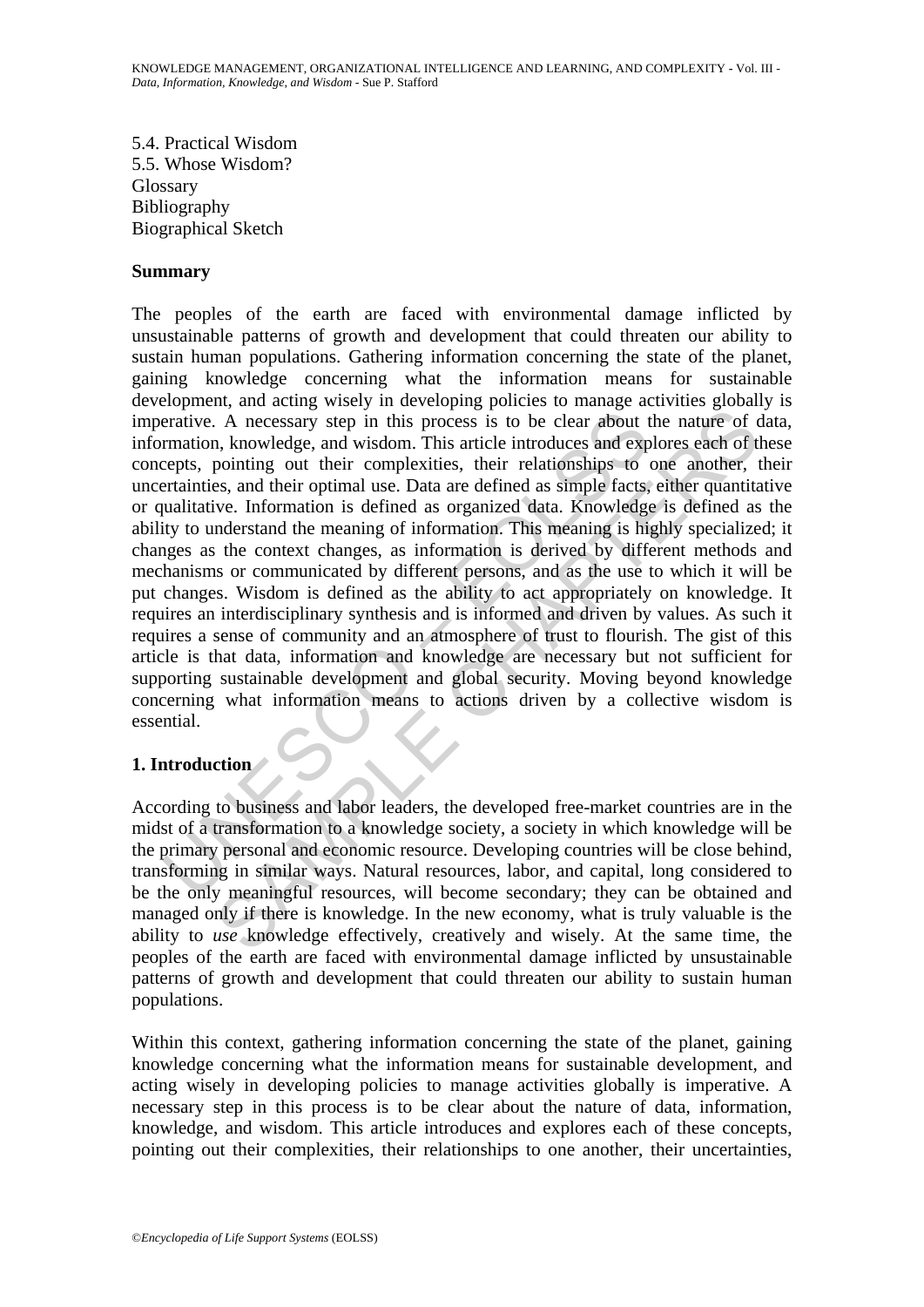5.4. Practical Wisdom 5.5. Whose Wisdom? Glossary Bibliography Biographical Sketch

#### **Summary**

erative. A necessary step in this process is to be clear about trantion, knowledge, and wisdom. This article introduces and expepts, pointing out their complexities, their relationships to retrainteis, and their optimal us A necessary step in this process is to be clear about the nature of c<br>A necessary step in this process is to be clear about the nature of c<br>pointing out their complexities, their relationships to one another, the<br>ges, and The peoples of the earth are faced with environmental damage inflicted by unsustainable patterns of growth and development that could threaten our ability to sustain human populations. Gathering information concerning the state of the planet, gaining knowledge concerning what the information means for sustainable development, and acting wisely in developing policies to manage activities globally is imperative. A necessary step in this process is to be clear about the nature of data, information, knowledge, and wisdom. This article introduces and explores each of these concepts, pointing out their complexities, their relationships to one another, their uncertainties, and their optimal use. Data are defined as simple facts, either quantitative or qualitative. Information is defined as organized data. Knowledge is defined as the ability to understand the meaning of information. This meaning is highly specialized; it changes as the context changes, as information is derived by different methods and mechanisms or communicated by different persons, and as the use to which it will be put changes. Wisdom is defined as the ability to act appropriately on knowledge. It requires an interdisciplinary synthesis and is informed and driven by values. As such it requires a sense of community and an atmosphere of trust to flourish. The gist of this article is that data, information and knowledge are necessary but not sufficient for supporting sustainable development and global security. Moving beyond knowledge concerning what information means to actions driven by a collective wisdom is essential.

# **1. Introduction**

According to business and labor leaders, the developed free-market countries are in the midst of a transformation to a knowledge society, a society in which knowledge will be the primary personal and economic resource. Developing countries will be close behind, transforming in similar ways. Natural resources, labor, and capital, long considered to be the only meaningful resources, will become secondary; they can be obtained and managed only if there is knowledge. In the new economy, what is truly valuable is the ability to *use* knowledge effectively, creatively and wisely. At the same time, the peoples of the earth are faced with environmental damage inflicted by unsustainable patterns of growth and development that could threaten our ability to sustain human populations.

Within this context, gathering information concerning the state of the planet, gaining knowledge concerning what the information means for sustainable development, and acting wisely in developing policies to manage activities globally is imperative. A necessary step in this process is to be clear about the nature of data, information, knowledge, and wisdom. This article introduces and explores each of these concepts, pointing out their complexities, their relationships to one another, their uncertainties,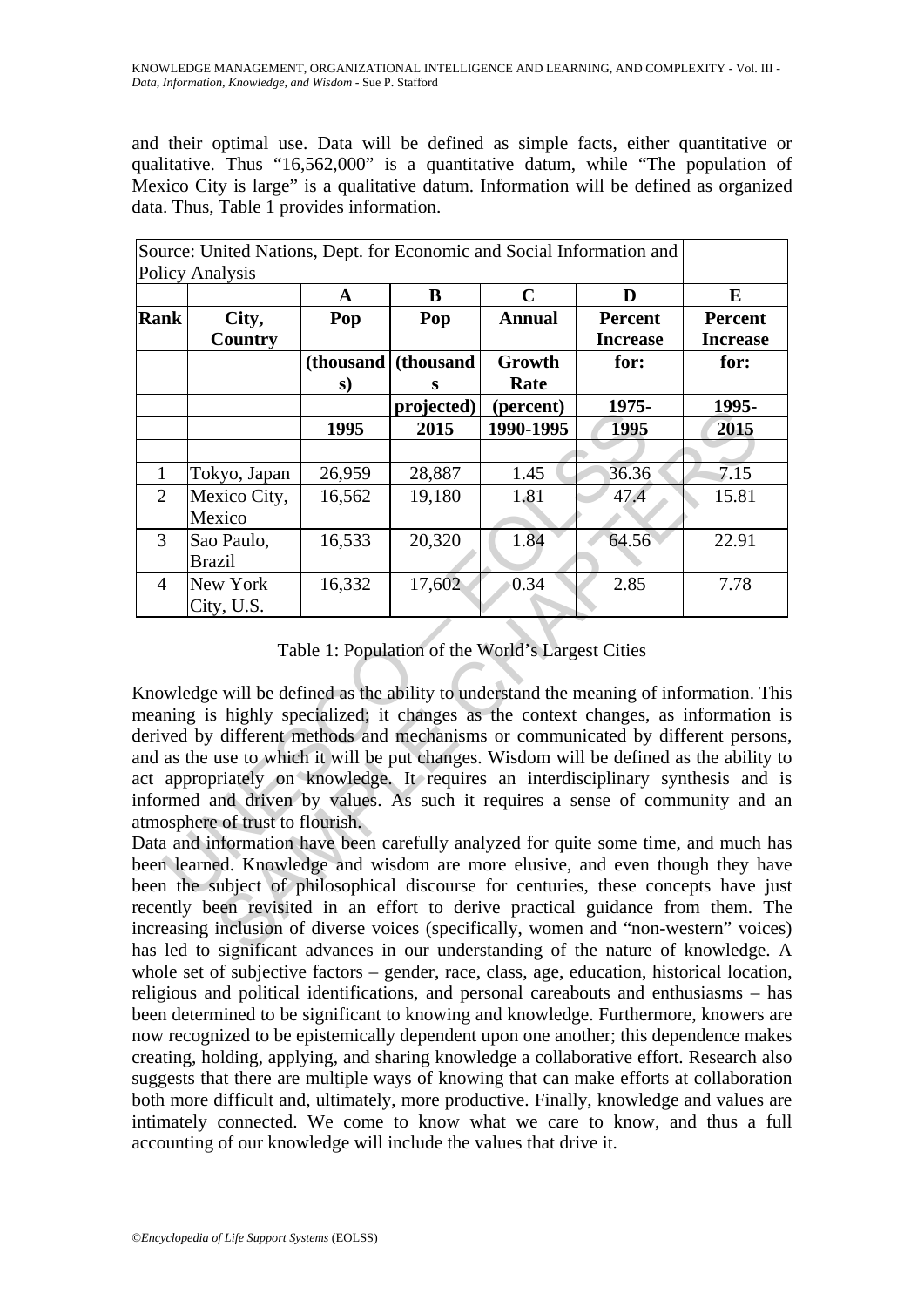and their optimal use. Data will be defined as simple facts, either quantitative or qualitative. Thus "16,562,000" is a quantitative datum, while "The population of Mexico City is large" is a qualitative datum. Information will be defined as organized data. Thus, Table 1 provides information.

|                | Source: United Nations, Dept. for Economic and Social Information and<br><b>Policy Analysis</b>                                                                                                                                                                                                                                                  |           |            |                                                   |                                   |                                   |
|----------------|--------------------------------------------------------------------------------------------------------------------------------------------------------------------------------------------------------------------------------------------------------------------------------------------------------------------------------------------------|-----------|------------|---------------------------------------------------|-----------------------------------|-----------------------------------|
|                |                                                                                                                                                                                                                                                                                                                                                  | A         | B          | $\mathbf C$                                       | D                                 | E                                 |
| <b>Rank</b>    | City,<br><b>Country</b>                                                                                                                                                                                                                                                                                                                          | Pop       | Pop        | <b>Annual</b>                                     | <b>Percent</b><br><b>Increase</b> | <b>Percent</b><br><b>Increase</b> |
|                |                                                                                                                                                                                                                                                                                                                                                  | (thousand | (thousand  | Growth                                            | for:                              | for:                              |
|                |                                                                                                                                                                                                                                                                                                                                                  | s)        | s          | Rate                                              |                                   |                                   |
|                |                                                                                                                                                                                                                                                                                                                                                  |           | projected) | (percent)                                         | 1975-                             | 1995-                             |
|                |                                                                                                                                                                                                                                                                                                                                                  | 1995      | 2015       | 1990-1995                                         | 1995                              | 2015                              |
|                |                                                                                                                                                                                                                                                                                                                                                  |           |            |                                                   |                                   |                                   |
| $\mathbf{1}$   | Tokyo, Japan                                                                                                                                                                                                                                                                                                                                     | 26,959    | 28,887     | 1.45                                              | 36.36                             | 7.15                              |
| $\overline{2}$ | Mexico City,<br>Mexico                                                                                                                                                                                                                                                                                                                           | 16,562    | 19,180     | 1.81                                              | 47.4                              | 15.81                             |
| 3              | Sao Paulo,<br><b>Brazil</b>                                                                                                                                                                                                                                                                                                                      | 16,533    | 20,320     | 1.84                                              | 64.56                             | 22.91                             |
| $\overline{4}$ | New York<br>City, U.S.                                                                                                                                                                                                                                                                                                                           | 16,332    | 17,602     | 0.34                                              | 2.85                              | 7.78                              |
|                | Knowledge will be defined as the ability to understand the meaning of information. This<br>meaning is highly specialized; it changes as the context changes, as information is<br>derived by different methods and mechanisms or communicated by different persons                                                                               |           |            | Table 1: Population of the World's Largest Cities |                                   |                                   |
|                | and as the use to which it will be put changes. Wisdom will be defined as the ability to<br>act appropriately on knowledge. It requires an interdisciplinary synthesis and is<br>informed and driven by values. As such it requires a sense of community and an                                                                                  |           |            |                                                   |                                   |                                   |
|                | atmosphere of trust to flourish.<br>Data and information have been carefully analyzed for quite some time, and much has                                                                                                                                                                                                                          |           |            |                                                   |                                   |                                   |
|                | been learned. Knowledge and wisdom are more elusive, and even though they have<br>been the subject of philosophical discourse for centuries, these concepts have jus<br>recently been revisited in an effort to derive practical guidance from them. The<br>increasing inclusion of diverse voices (specifically, women and "non-western" voices |           |            |                                                   |                                   |                                   |

Table 1: Population of the World's Largest Cities

Data and information have been carefully analyzed for quite some time, and much has been learned. Knowledge and wisdom are more elusive, and even though they have been the subject of philosophical discourse for centuries, these concepts have just recently been revisited in an effort to derive practical guidance from them. The increasing inclusion of diverse voices (specifically, women and "non-western" voices) has led to significant advances in our understanding of the nature of knowledge. A whole set of subjective factors – gender, race, class, age, education, historical location, religious and political identifications, and personal careabouts and enthusiasms – has been determined to be significant to knowing and knowledge. Furthermore, knowers are now recognized to be epistemically dependent upon one another; this dependence makes creating, holding, applying, and sharing knowledge a collaborative effort. Research also suggests that there are multiple ways of knowing that can make efforts at collaboration both more difficult and, ultimately, more productive. Finally, knowledge and values are intimately connected. We come to know what we care to know, and thus a full accounting of our knowledge will include the values that drive it.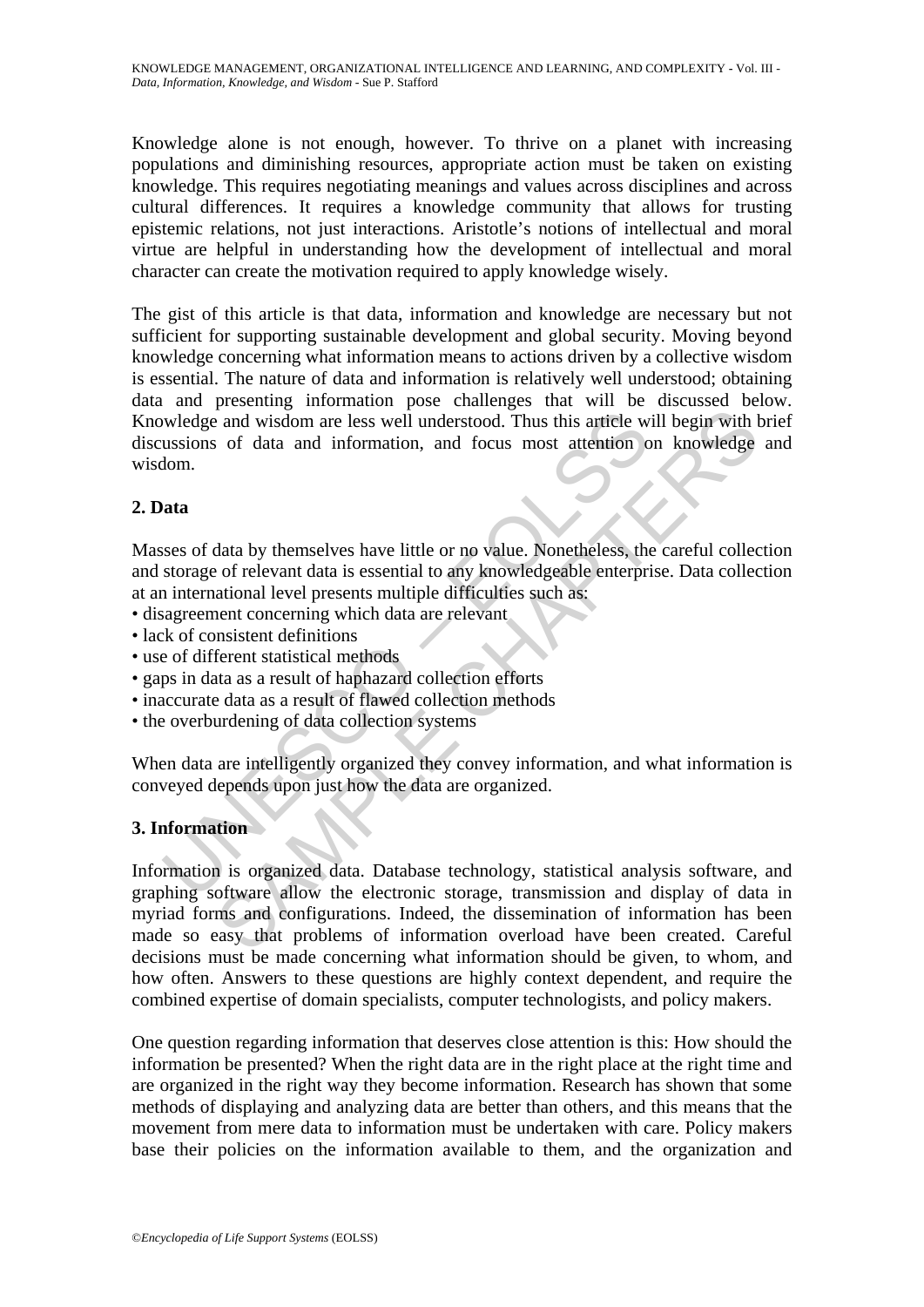Knowledge alone is not enough, however. To thrive on a planet with increasing populations and diminishing resources, appropriate action must be taken on existing knowledge. This requires negotiating meanings and values across disciplines and across cultural differences. It requires a knowledge community that allows for trusting epistemic relations, not just interactions. Aristotle's notions of intellectual and moral virtue are helpful in understanding how the development of intellectual and moral character can create the motivation required to apply knowledge wisely.

wledge and wisdom are less well understood. Thus this article w<br>ussions of data and information, and focus most attention of<br>lom.<br>**ata**<br>**ata**<br>**ata**<br>**ata**<br>**ata**<br>**ata**<br>**ata**<br>**ata**<br>**ata**<br>**ata**<br>**ata**<br>**ata**<br>**ata**<br>**ata**<br>**a**<br>**ata** The gist of this article is that data, information and knowledge are necessary but not sufficient for supporting sustainable development and global security. Moving beyond knowledge concerning what information means to actions driven by a collective wisdom is essential. The nature of data and information is relatively well understood; obtaining data and presenting information pose challenges that will be discussed below. Knowledge and wisdom are less well understood. Thus this article will begin with brief discussions of data and information, and focus most attention on knowledge and wisdom.

# **2. Data**

Masses of data by themselves have little or no value. Nonetheless, the careful collection and storage of relevant data is essential to any knowledgeable enterprise. Data collection at an international level presents multiple difficulties such as:

- disagreement concerning which data are relevant
- lack of consistent definitions
- use of different statistical methods
- gaps in data as a result of haphazard collection efforts
- inaccurate data as a result of flawed collection methods
- the overburdening of data collection systems

When data are intelligently organized they convey information, and what information is conveyed depends upon just how the data are organized.

# **3. Information**

Frame and wisdom are less well understood. Thus this article will begin with a<br>c and wisdom are less well understood. Thus this article will begin with s<br>of data and information, and focus most attention on knowledge<br>of re Information is organized data. Database technology, statistical analysis software, and graphing software allow the electronic storage, transmission and display of data in myriad forms and configurations. Indeed, the dissemination of information has been made so easy that problems of information overload have been created. Careful decisions must be made concerning what information should be given, to whom, and how often. Answers to these questions are highly context dependent, and require the combined expertise of domain specialists, computer technologists, and policy makers.

One question regarding information that deserves close attention is this: How should the information be presented? When the right data are in the right place at the right time and are organized in the right way they become information. Research has shown that some methods of displaying and analyzing data are better than others, and this means that the movement from mere data to information must be undertaken with care. Policy makers base their policies on the information available to them, and the organization and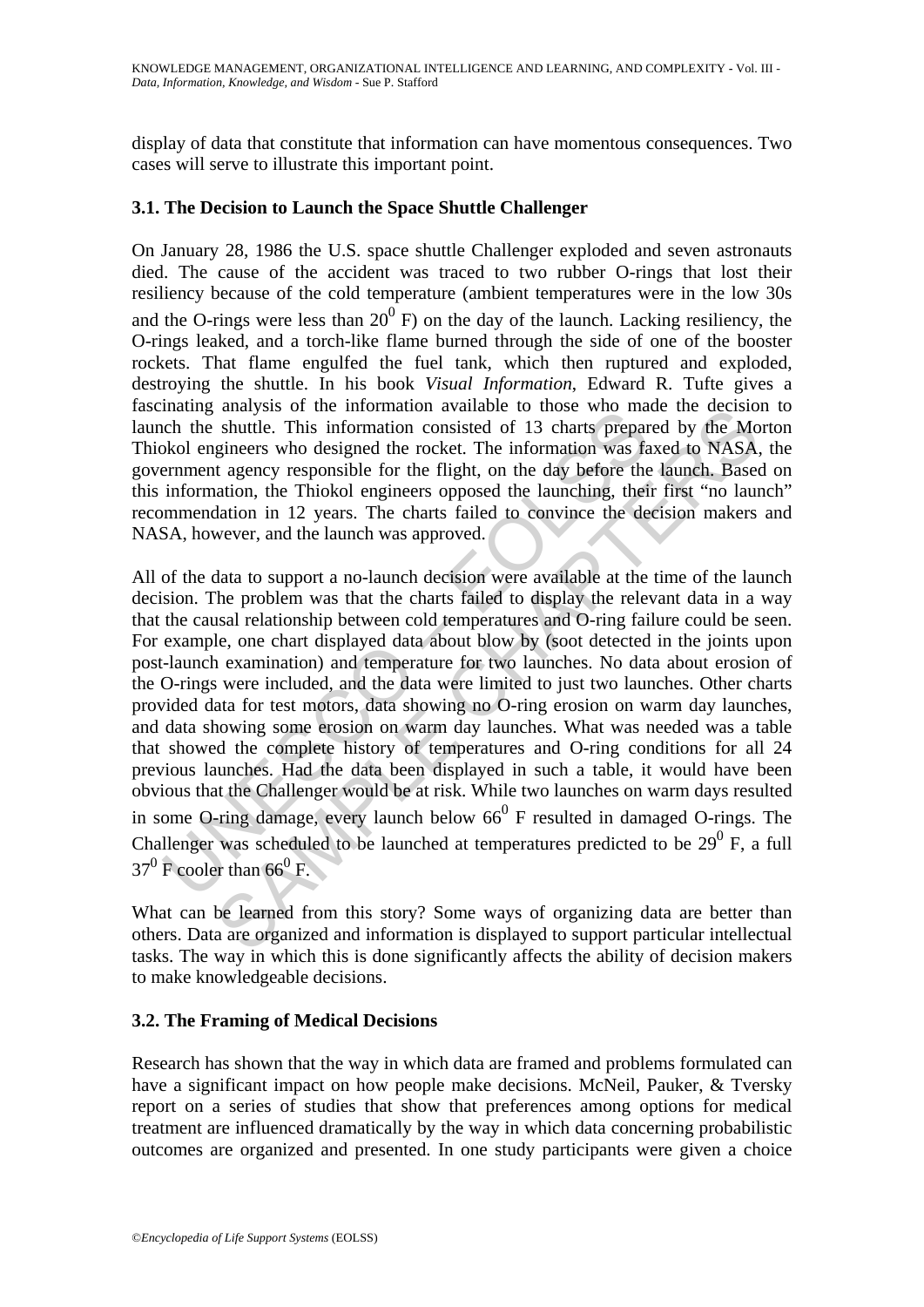display of data that constitute that information can have momentous consequences. Two cases will serve to illustrate this important point.

# **3.1. The Decision to Launch the Space Shuttle Challenger**

On January 28, 1986 the U.S. space shuttle Challenger exploded and seven astronauts died. The cause of the accident was traced to two rubber O-rings that lost their resiliency because of the cold temperature (ambient temperatures were in the low 30s and the O-rings were less than  $20^{\circ}$  F) on the day of the launch. Lacking resiliency, the O-rings leaked, and a torch-like flame burned through the side of one of the booster rockets. That flame engulfed the fuel tank, which then ruptured and exploded, destroying the shuttle. In his book *Visual Information*, Edward R. Tufte gives a fascinating analysis of the information available to those who made the decision to launch the shuttle. This information consisted of 13 charts prepared by the Morton Thiokol engineers who designed the rocket. The information was faxed to NASA, the government agency responsible for the flight, on the day before the launch. Based on this information, the Thiokol engineers opposed the launching, their first "no launch" recommendation in 12 years. The charts failed to convince the decision makers and NASA, however, and the launch was approved.

manny analysis on an information availance to most way may<br>be the shuttle. This information consisted of 13 charts prepared<br>whol engineers who designed the rocket. The information was far-<br>mment agency responsible for the analysis of une information avanable to uose who mad the decision<br>shuttle. This information consisted of 13 charts prepared by the Mo<br>gineers who designed the rocket. The information was faxed to NASA,<br>t agency responsibl All of the data to support a no-launch decision were available at the time of the launch decision. The problem was that the charts failed to display the relevant data in a way that the causal relationship between cold temperatures and O-ring failure could be seen. For example, one chart displayed data about blow by (soot detected in the joints upon post-launch examination) and temperature for two launches. No data about erosion of the O-rings were included, and the data were limited to just two launches. Other charts provided data for test motors, data showing no O-ring erosion on warm day launches, and data showing some erosion on warm day launches. What was needed was a table that showed the complete history of temperatures and O-ring conditions for all 24 previous launches. Had the data been displayed in such a table, it would have been obvious that the Challenger would be at risk. While two launches on warm days resulted in some O-ring damage, every launch below  $66<sup>0</sup>$  F resulted in damaged O-rings. The Challenger was scheduled to be launched at temperatures predicted to be  $29^0$  F, a full  $37^0$  F cooler than 66<sup>0</sup> F.

What can be learned from this story? Some ways of organizing data are better than others. Data are organized and information is displayed to support particular intellectual tasks. The way in which this is done significantly affects the ability of decision makers to make knowledgeable decisions.

# **3.2. The Framing of Medical Decisions**

Research has shown that the way in which data are framed and problems formulated can have a significant impact on how people make decisions. McNeil, Pauker, & Tversky report on a series of studies that show that preferences among options for medical treatment are influenced dramatically by the way in which data concerning probabilistic outcomes are organized and presented. In one study participants were given a choice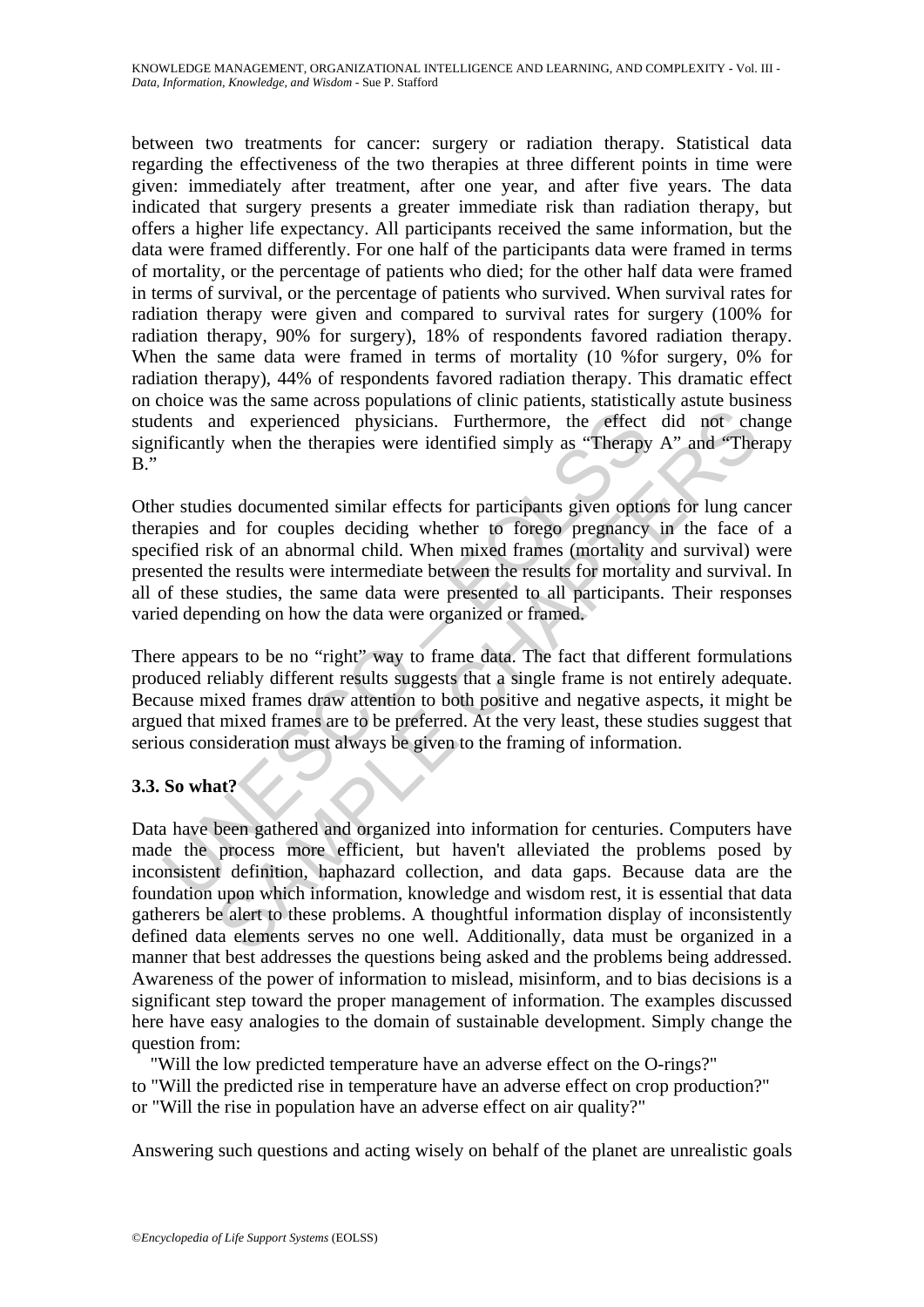between two treatments for cancer: surgery or radiation therapy. Statistical data regarding the effectiveness of the two therapies at three different points in time were given: immediately after treatment, after one year, and after five years. The data indicated that surgery presents a greater immediate risk than radiation therapy, but offers a higher life expectancy. All participants received the same information, but the data were framed differently. For one half of the participants data were framed in terms of mortality, or the percentage of patients who died; for the other half data were framed in terms of survival, or the percentage of patients who survived. When survival rates for radiation therapy were given and compared to survival rates for surgery (100% for radiation therapy, 90% for surgery), 18% of respondents favored radiation therapy. When the same data were framed in terms of mortality (10 % for surgery, 0% for radiation therapy), 44% of respondents favored radiation therapy. This dramatic effect on choice was the same across populations of clinic patients, statistically astute business students and experienced physicians. Furthermore, the effect did not change significantly when the therapies were identified simply as "Therapy A" and "Therapy B."

lents and experienced physicians. Furthermore, the effect ificantly when the therapies were identified simply as "Therapy<br>are studies documented similar effects for participants given optic<br>apies and for couples deciding w Other studies documented similar effects for participants given options for lung cancer therapies and for couples deciding whether to forego pregnancy in the face of a specified risk of an abnormal child. When mixed frames (mortality and survival) were presented the results were intermediate between the results for mortality and survival. In all of these studies, the same data were presented to all participants. Their responses varied depending on how the data were organized or framed.

There appears to be no "right" way to frame data. The fact that different formulations produced reliably different results suggests that a single frame is not entirely adequate. Because mixed frames draw attention to both positive and negative aspects, it might be argued that mixed frames are to be preferred. At the very least, these studies suggest that serious consideration must always be given to the framing of information.

# **3.3. So what?**

and experienced physicians. Furthermore, the effect did not changed experienced physicians. Furthermore, the effect did not changed when the therapies were identified simply as "Therapy A" and "The lies is documented simil Data have been gathered and organized into information for centuries. Computers have made the process more efficient, but haven't alleviated the problems posed by inconsistent definition, haphazard collection, and data gaps. Because data are the foundation upon which information, knowledge and wisdom rest, it is essential that data gatherers be alert to these problems. A thoughtful information display of inconsistently defined data elements serves no one well. Additionally, data must be organized in a manner that best addresses the questions being asked and the problems being addressed. Awareness of the power of information to mislead, misinform, and to bias decisions is a significant step toward the proper management of information. The examples discussed here have easy analogies to the domain of sustainable development. Simply change the question from:

 "Will the low predicted temperature have an adverse effect on the O-rings?" to "Will the predicted rise in temperature have an adverse effect on crop production?" or "Will the rise in population have an adverse effect on air quality?"

Answering such questions and acting wisely on behalf of the planet are unrealistic goals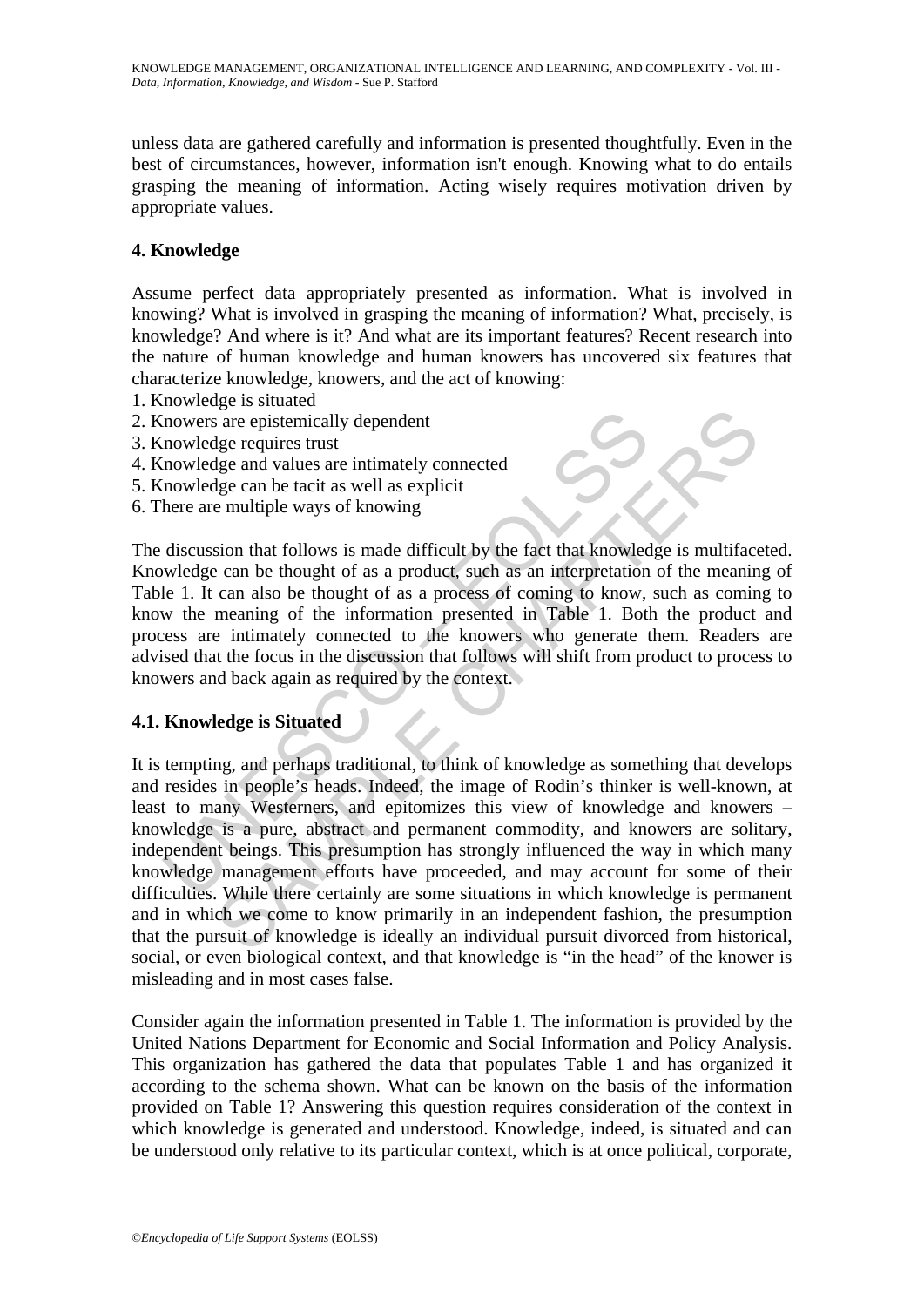unless data are gathered carefully and information is presented thoughtfully. Even in the best of circumstances, however, information isn't enough. Knowing what to do entails grasping the meaning of information. Acting wisely requires motivation driven by appropriate values.

# **4. Knowledge**

Assume perfect data appropriately presented as information. What is involved in knowing? What is involved in grasping the meaning of information? What, precisely, is knowledge? And where is it? And what are its important features? Recent research into the nature of human knowledge and human knowers has uncovered six features that characterize knowledge, knowers, and the act of knowing:

- 1. Knowledge is situated
- 2. Knowers are epistemically dependent
- 3. Knowledge requires trust
- 4. Knowledge and values are intimately connected
- 5. Knowledge can be tacit as well as explicit
- 6. There are multiple ways of knowing

In<br>
Summary are epistemically dependent<br>
Inowledge requires trust<br>
Inowledge can be tacit as well as explicit<br>
Interest are multiple ways of knowing<br>
discussion that follows is made difficult by the fact that knowled<br>
when The discussion that follows is made difficult by the fact that knowledge is multifaceted. Knowledge can be thought of as a product, such as an interpretation of the meaning of Table 1. It can also be thought of as a process of coming to know, such as coming to know the meaning of the information presented in Table 1. Both the product and process are intimately connected to the knowers who generate them. Readers are advised that the focus in the discussion that follows will shift from product to process to knowers and back again as required by the context.

#### **4.1. Knowledge is Situated**

For the controllational state in the controllation in the same and value are stated and values are entimately connected and get and the tact as well as explicit e multiple ways of knowing sion that follows is made difficul It is tempting, and perhaps traditional, to think of knowledge as something that develops and resides in people's heads. Indeed, the image of Rodin's thinker is well-known, at least to many Westerners, and epitomizes this view of knowledge and knowers – knowledge is a pure, abstract and permanent commodity, and knowers are solitary, independent beings. This presumption has strongly influenced the way in which many knowledge management efforts have proceeded, and may account for some of their difficulties. While there certainly are some situations in which knowledge is permanent and in which we come to know primarily in an independent fashion, the presumption that the pursuit of knowledge is ideally an individual pursuit divorced from historical, social, or even biological context, and that knowledge is "in the head" of the knower is misleading and in most cases false.

Consider again the information presented in Table 1. The information is provided by the United Nations Department for Economic and Social Information and Policy Analysis. This organization has gathered the data that populates Table 1 and has organized it according to the schema shown. What can be known on the basis of the information provided on Table 1? Answering this question requires consideration of the context in which knowledge is generated and understood. Knowledge, indeed, is situated and can be understood only relative to its particular context, which is at once political, corporate,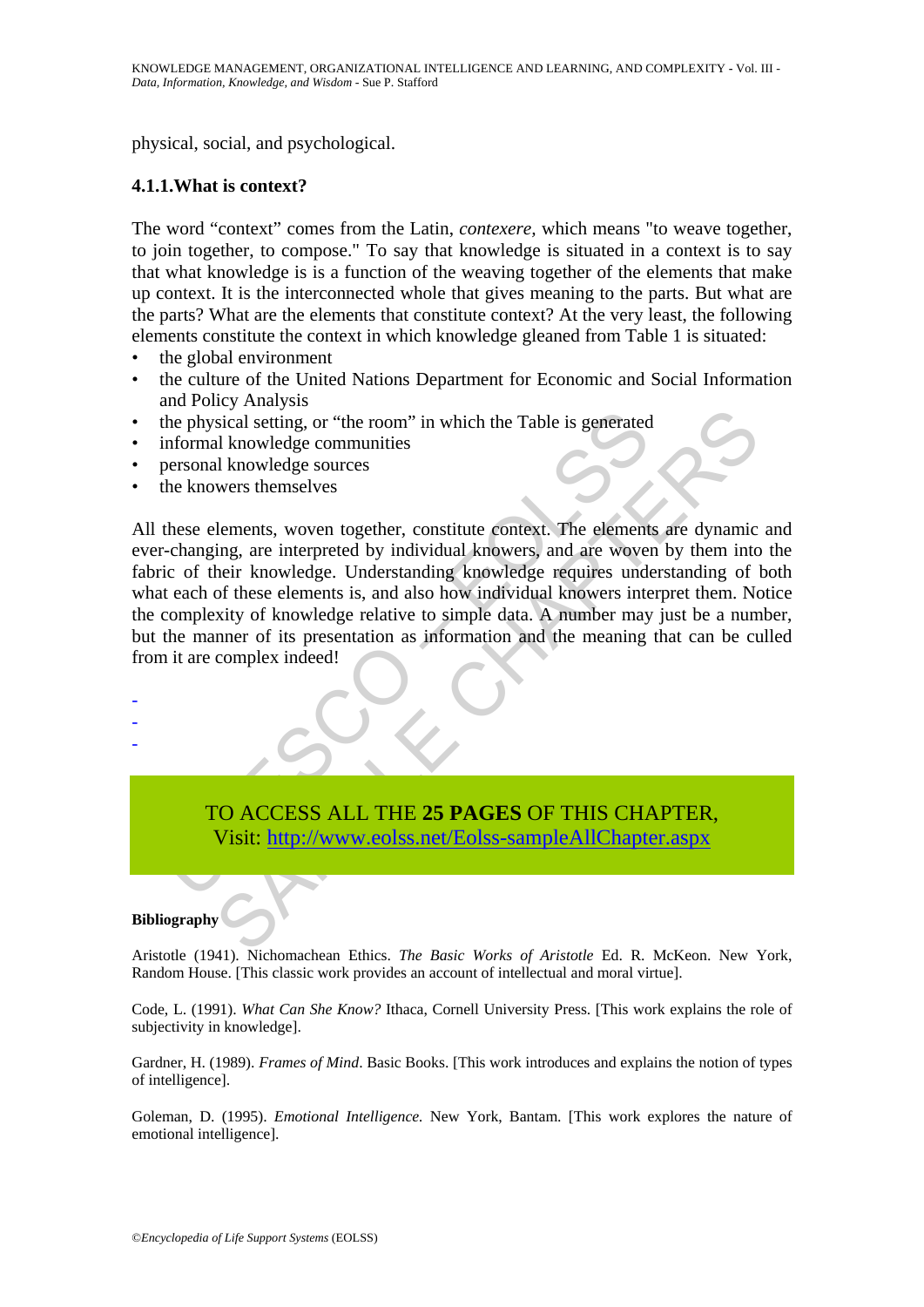physical, social, and psychological.

#### **4.1.1.What is context?**

The word "context" comes from the Latin, *contexere,* which means "to weave together, to join together, to compose." To say that knowledge is situated in a context is to say that what knowledge is is a function of the weaving together of the elements that make up context. It is the interconnected whole that gives meaning to the parts. But what are the parts? What are the elements that constitute context? At the very least, the following elements constitute the context in which knowledge gleaned from Table 1 is situated:

- the global environment
- the culture of the United Nations Department for Economic and Social Information and Policy Analysis
- the physical setting, or "the room" in which the Table is generated
- informal knowledge communities
- personal knowledge sources
- the knowers themselves

the physical setting, or "the room" in which the Table is generated<br>informal knowledge communities<br>personal knowledge sources<br>these elements, woven together, constitute context. The element<br>c-changing, are interpreted by i Sicial setting, or "the room" in which the Table is generated<br>
sicial setting, or "the room" in which the Table is generated<br>
al knowledge communities<br>
lements, woven together, constitute context. The elements are dynamic<br> All these elements, woven together, constitute context. The elements are dynamic and ever-changing, are interpreted by individual knowers, and are woven by them into the fabric of their knowledge. Understanding knowledge requires understanding of both what each of these elements is, and also how individual knowers interpret them. Notice the complexity of knowledge relative to simple data. A number may just be a number, but the manner of its presentation as information and the meaning that can be culled from it are complex indeed!

TO ACCESS ALL THE **25 PAGES** OF THIS CHAPTER, Visit: http://www.eolss.net/Eolss-sampleAllChapter.aspx

#### **Bibliography**

- - -

Aristotle (1941). Nichomachean Ethics. *The Basic Works of Aristotle* Ed. R. McKeon. New York, Random House. [This classic work provides an account of intellectual and moral virtue].

Code, L. (1991). *What Can She Know?* Ithaca, Cornell University Press. [This work explains the role of subjectivity in knowledge].

Gardner, H. (1989). *Frames of Mind*. Basic Books. [This work introduces and explains the notion of types of intelligence].

Goleman, D. (1995). *Emotional Intelligence.* New York, Bantam. [This work explores the nature of emotional intelligence].